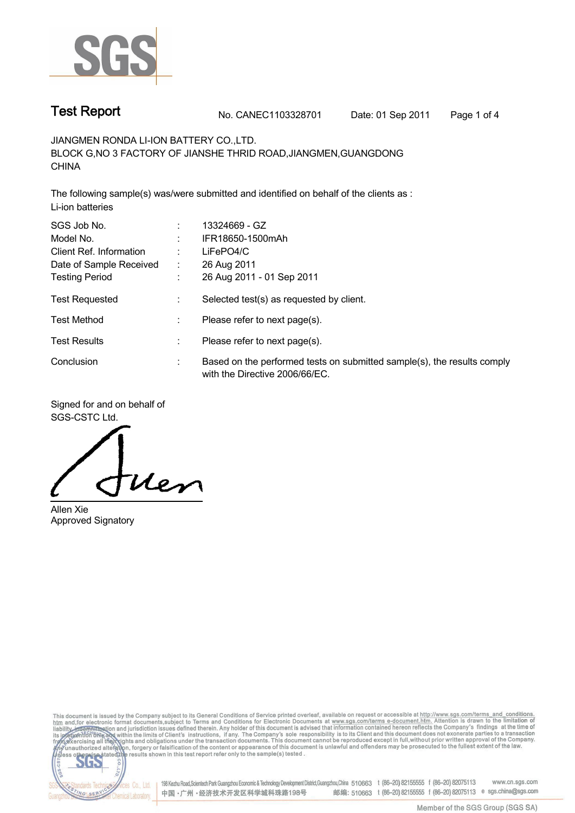

**Test Report No. CANEC1103328701 Date: 01 Sep 2011 Page 1 of 4**

**JIANGMEN RONDA LI-ION BATTERY CO.,LTD. BLOCK G,NO 3 FACTORY OF JIANSHE THRID ROAD,JIANGMEN,GUANGDONG CHINA**

**The following sample(s) was/were submitted and identified on behalf of the clients as : Li-ion batteries**

| SGS Job No.             |    | 13324669 - GZ                                                                                             |
|-------------------------|----|-----------------------------------------------------------------------------------------------------------|
| Model No.               |    | IFR18650-1500mAh                                                                                          |
| Client Ref. Information |    | LiFePO4/C                                                                                                 |
| Date of Sample Received | ÷. | 26 Aug 2011                                                                                               |
| <b>Testing Period</b>   |    | 26 Aug 2011 - 01 Sep 2011                                                                                 |
| <b>Test Requested</b>   |    | Selected test(s) as requested by client.                                                                  |
| <b>Test Method</b>      |    | Please refer to next page(s).                                                                             |
| <b>Test Results</b>     |    | Please refer to next page(s).                                                                             |
| Conclusion              |    | Based on the performed tests on submitted sample(s), the results comply<br>with the Directive 2006/66/EC. |

**Signed for and on behalf of SGS-CSTC Ltd.**

Uen

**Allen Xie Approved Signatory**

This document is issued by the Company subject to its General Conditions of Service printed overleaf, available on request or accessible at http://www.sgs.com/terms\_and\_conditions.<br>htm\_and, for electronic format documents, co.



198 Kezhu Road,Scientech Park Guangzhou Economic & Technology Development District,Guangzhou,China 510663 t (86-20) 82155555 f (86-20) 82075113 www.cn.sgs.com 邮编: 510663 t (86-20) 82155555 f (86-20) 82075113 e sgs.china@sgs.com 中国·广州·经济技术开发区科学城科珠路198号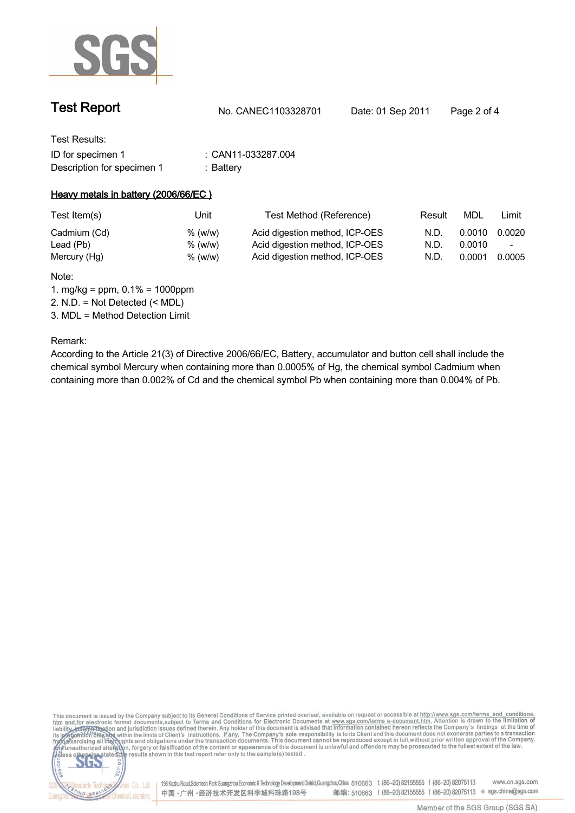

| <b>Test Report</b> | No. CANEC1103328701 | Date: 01 Sep 2011 | Page 2 of 4 |
|--------------------|---------------------|-------------------|-------------|
|                    |                     |                   |             |

| Test Results:              |                  |
|----------------------------|------------------|
| ID for specimen 1          | CAN11-033287.004 |
| Description for specimen 1 | :Battery         |

### **Heavy metals in battery (2006/66/EC )**

| Test Item(s) | Unitl   | Test Method (Reference)        | Result | MDL    | Limit                    |
|--------------|---------|--------------------------------|--------|--------|--------------------------|
| Cadmium (Cd) | % (w/w) | Acid digestion method, ICP-OES | N.D.   | 0.0010 | 0.0020                   |
| Lead (Pb)    | % (w/w) | Acid digestion method, ICP-OES | N.D.   | 0.0010 | $\overline{\phantom{a}}$ |
| Mercury (Hg) | % (w/w) | Acid digestion method, ICP-OES | N.D.   | 0.0001 | 0.0005                   |
|              |         |                                |        |        |                          |

**Note:**

**1. mg/kg = ppm, 0.1% = 1000ppm**

**2. N.D. = Not Detected (< MDL)**

**3. MDL = Method Detection Limit**

**Remark:**

dards Ter

NG SERY

fices Co., Ltd.

**According to the Article 21(3) of Directive 2006/66/EC, Battery, accumulator and button cell shall include the chemical symbol Mercury when containing more than 0.0005% of Hg, the chemical symbol Cadmium when containing more than 0.002% of Cd and the chemical symbol Pb when containing more than 0.004% of Pb.**

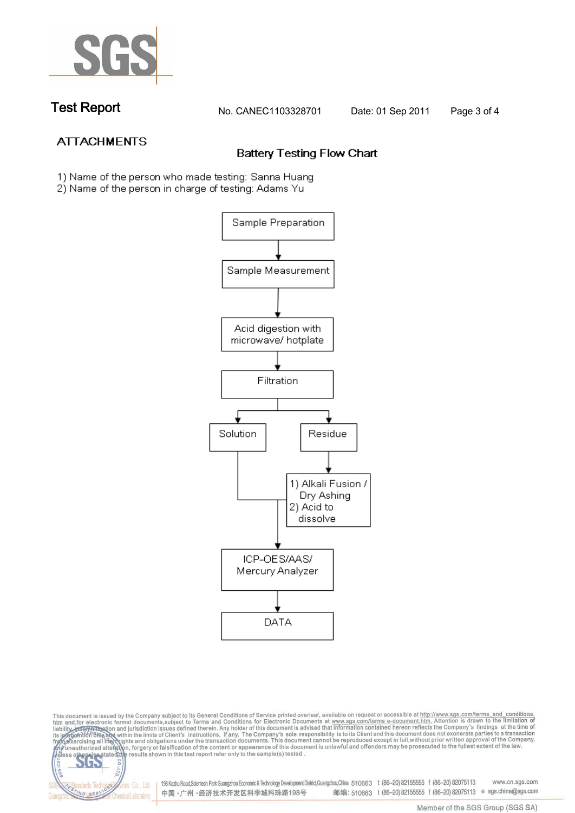

dards Ted

ING SERY

**Chemical Laboratory** 

**Test Report No. CANEC1103328701 Date: 01 Sep 2011 Page 3 of 4**

# **ATTACHMENTS**

## **Battery Testing Flow Chart**

- 1) Name of the person who made testing: Sanna Huang
- 2) Name of the person in charge of testing: Adams Yu



This document is issued by the Company subject to its General Conditions of Service printed overleaf, available on request or accessible at http://www.sgs.com/terms\_and\_conditions.<br>It and for electronic format documents,su **202** 

Vices Co., Ltd. | 198 Kezhu Road,Scientech Park Guangzhou Economic & Technology Development District,Guangzhou,China 510663 t (86–20) 82155555 f (86–20) 82075113 www.cn.sgs.com 邮编: 510663 t (86-20) 82155555 f (86-20) 82075113 e sgs.china@sgs.com 中国·广州·经济技术开发区科学城科珠路198号